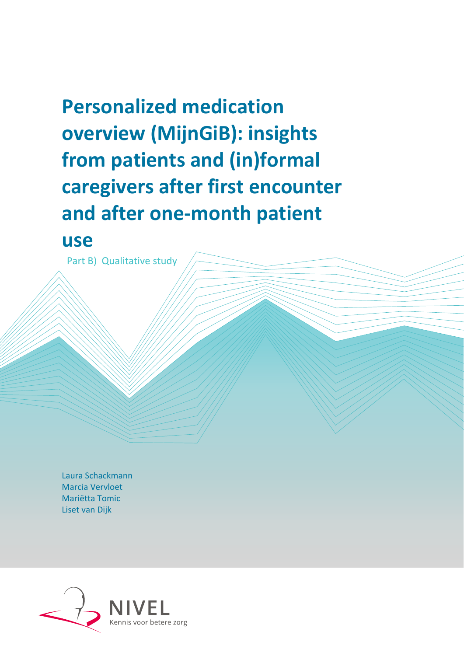# **Personalized medication overview (MijnGiB): insights from patients and (in)formal caregivers after first encounter and after one-month patient**

# **use**

Part B) Qualitative study

Laura Schackmann Marcia Vervloet Mariëtta Tomic Liset van Dijk

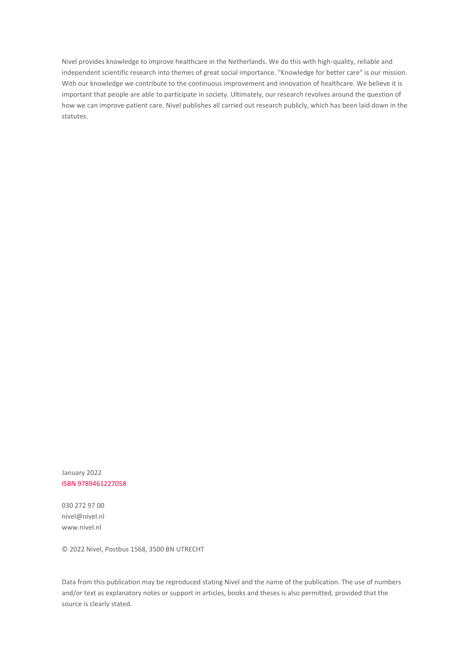Nivel provides knowledge to improve healthcare in the Netherlands. We do this with high-quality, reliable and independent scientific research into themes of great social importance. "Knowledge for better care" is our mission. With our knowledge we contribute to the continuous improvement and innovation of healthcare. We believe it is important that people are able to participate in society. Ultimately, our research revolves around the question of how we can improve patient care. Nivel publishes all carried out research publicly, which has been laid down in the statutes.

January 2022 ISBN 9789461227058

030 272 97 00 nivel@nivel.nl www.nivel.nl

© 2022 Nivel, Postbus 1568, 3500 BN UTRECHT

Data from this publication may be reproduced stating Nivel and the name of the publication. The use of numbers and/or text as explanatory notes or support in articles, books and theses is also permitted, provided that the source is clearly stated.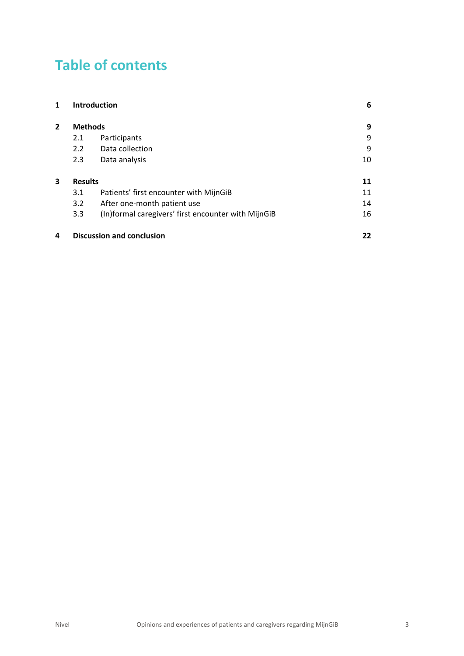# **Table of contents**

| 1              |                | <b>Introduction</b>                                 | 6  |
|----------------|----------------|-----------------------------------------------------|----|
| $\overline{2}$ | <b>Methods</b> |                                                     | 9  |
|                | 2.1            | Participants                                        | 9  |
|                | 2.2            | Data collection                                     | 9  |
|                | 2.3            | Data analysis                                       | 10 |
| 3              | <b>Results</b> |                                                     | 11 |
|                | 3.1            | Patients' first encounter with MijnGiB              | 11 |
|                | 3.2            | After one-month patient use                         | 14 |
|                | 3.3            | (In)formal caregivers' first encounter with MijnGiB | 16 |
| 4              |                | <b>Discussion and conclusion</b>                    | 22 |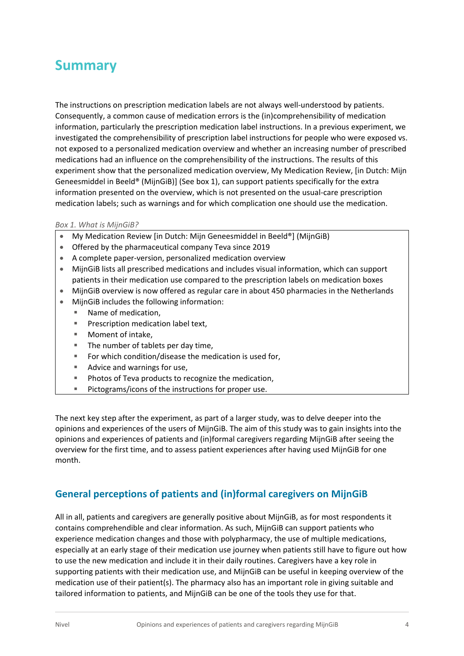## **Summary**

The instructions on prescription medication labels are not always well-understood by patients. Consequently, a common cause of medication errors is the (in)comprehensibility of medication information, particularly the prescription medication label instructions. In a previous experiment, we investigated the comprehensibility of prescription label instructions for people who were exposed vs. not exposed to a personalized medication overview and whether an increasing number of prescribed medications had an influence on the comprehensibility of the instructions. The results of this experiment show that the personalized medication overview, My Medication Review, [in Dutch: Mijn Geneesmiddel in Beeld® (MijnGiB)] (See box 1), can support patients specifically for the extra information presented on the overview, which is not presented on the usual-care prescription medication labels; such as warnings and for which complication one should use the medication.

#### *Box 1. What is MijnGiB?*

- My Medication Review [in Dutch: Mijn Geneesmiddel in Beeld®] (MijnGiB)
- Offered by the pharmaceutical company Teva since 2019
- A complete paper-version, personalized medication overview
- MijnGiB lists all prescribed medications and includes visual information, which can support patients in their medication use compared to the prescription labels on medication boxes
- MijnGiB overview is now offered as regular care in about 450 pharmacies in the Netherlands
- MijnGiB includes the following information:
	- Name of medication.
	- Prescription medication label text,
	- Moment of intake,
	- The number of tablets per day time,
	- For which condition/disease the medication is used for,
	- Advice and warnings for use,
	- Photos of Teva products to recognize the medication,
	- Pictograms/icons of the instructions for proper use.

The next key step after the experiment, as part of a larger study, was to delve deeper into the opinions and experiences of the users of MijnGiB. The aim of this study was to gain insights into the opinions and experiences of patients and (in)formal caregivers regarding MijnGiB after seeing the overview for the first time, and to assess patient experiences after having used MijnGiB for one month.

#### **General perceptions of patients and (in)formal caregivers on MijnGiB**

All in all, patients and caregivers are generally positive about MijnGiB, as for most respondents it contains comprehendible and clear information. As such, MijnGiB can support patients who experience medication changes and those with polypharmacy, the use of multiple medications, especially at an early stage of their medication use journey when patients still have to figure out how to use the new medication and include it in their daily routines. Caregivers have a key role in supporting patients with their medication use, and MijnGiB can be useful in keeping overview of the medication use of their patient(s). The pharmacy also has an important role in giving suitable and tailored information to patients, and MijnGiB can be one of the tools they use for that.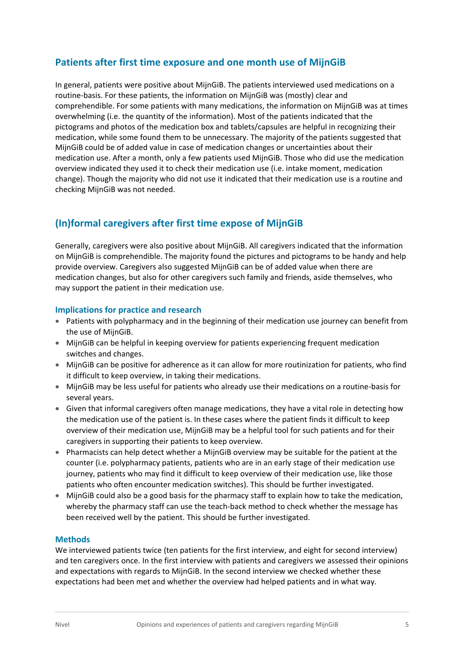#### **Patients after first time exposure and one month use of MijnGiB**

In general, patients were positive about MijnGiB. The patients interviewed used medications on a routine-basis. For these patients, the information on MijnGiB was (mostly) clear and comprehendible. For some patients with many medications, the information on MijnGiB was at times overwhelming (i.e. the quantity of the information). Most of the patients indicated that the pictograms and photos of the medication box and tablets/capsules are helpful in recognizing their medication, while some found them to be unnecessary. The majority of the patients suggested that MijnGiB could be of added value in case of medication changes or uncertainties about their medication use. After a month, only a few patients used MijnGiB. Those who did use the medication overview indicated they used it to check their medication use (i.e. intake moment, medication change). Though the majority who did not use it indicated that their medication use is a routine and checking MijnGiB was not needed.

#### **(In)formal caregivers after first time expose of MijnGiB**

Generally, caregivers were also positive about MijnGiB. All caregivers indicated that the information on MijnGiB is comprehendible. The majority found the pictures and pictograms to be handy and help provide overview. Caregivers also suggested MijnGiB can be of added value when there are medication changes, but also for other caregivers such family and friends, aside themselves, who may support the patient in their medication use.

#### **Implications for practice and research**

- Patients with polypharmacy and in the beginning of their medication use journey can benefit from the use of MijnGiB.
- MijnGiB can be helpful in keeping overview for patients experiencing frequent medication switches and changes.
- MijnGiB can be positive for adherence as it can allow for more routinization for patients, who find it difficult to keep overview, in taking their medications.
- MijnGiB may be less useful for patients who already use their medications on a routine-basis for several years.
- Given that informal caregivers often manage medications, they have a vital role in detecting how the medication use of the patient is. In these cases where the patient finds it difficult to keep overview of their medication use, MijnGiB may be a helpful tool for such patients and for their caregivers in supporting their patients to keep overview.
- Pharmacists can help detect whether a MijnGiB overview may be suitable for the patient at the counter (i.e. polypharmacy patients, patients who are in an early stage of their medication use journey, patients who may find it difficult to keep overview of their medication use, like those patients who often encounter medication switches). This should be further investigated.
- MijnGiB could also be a good basis for the pharmacy staff to explain how to take the medication, whereby the pharmacy staff can use the teach-back method to check whether the message has been received well by the patient. This should be further investigated.

#### **Methods**

We interviewed patients twice (ten patients for the first interview, and eight for second interview) and ten caregivers once. In the first interview with patients and caregivers we assessed their opinions and expectations with regards to MijnGiB. In the second interview we checked whether these expectations had been met and whether the overview had helped patients and in what way.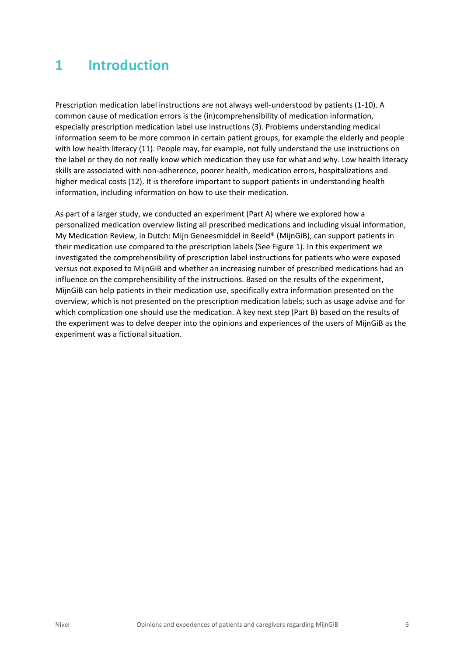# <span id="page-5-0"></span>**1 Introduction**

Prescription medication label instructions are not always well-understood by patients (1-10). A common cause of medication errors is the (in)comprehensibility of medication information, especially prescription medication label use instructions (3). Problems understanding medical information seem to be more common in certain patient groups, for example the elderly and people with low health literacy (11). People may, for example, not fully understand the use instructions on the label or they do not really know which medication they use for what and why. Low health literacy skills are associated with non-adherence, poorer health, medication errors, hospitalizations and higher medical costs (12). It is therefore important to support patients in understanding health information, including information on how to use their medication.

As part of a larger study, we conducted an experiment (Part A) where we explored how a personalized medication overview listing all prescribed medications and including visual information, My Medication Review, in Dutch: Mijn Geneesmiddel in Beeld® (MijnGiB), can support patients in their medication use compared to the prescription labels (See Figure 1). In this experiment we investigated the comprehensibility of prescription label instructions for patients who were exposed versus not exposed to MijnGiB and whether an increasing number of prescribed medications had an influence on the comprehensibility of the instructions. Based on the results of the experiment, MijnGiB can help patients in their medication use, specifically extra information presented on the overview, which is not presented on the prescription medication labels; such as usage advise and for which complication one should use the medication. A key next step (Part B) based on the results of the experiment was to delve deeper into the opinions and experiences of the users of MijnGiB as the experiment was a fictional situation.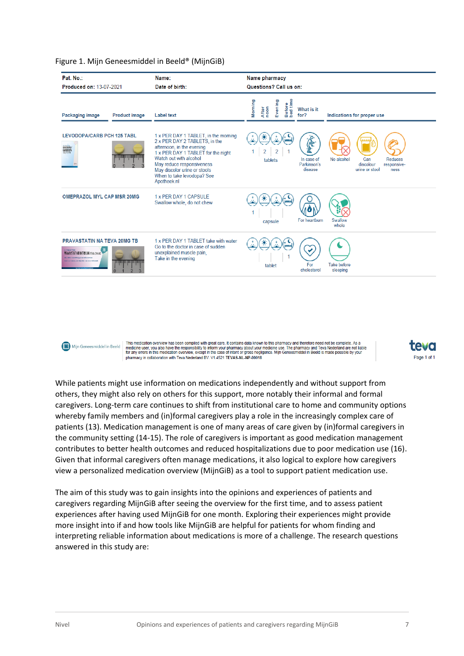| Name:<br>Date of birth:                                                                                                                                                                                                                                                      | Name pharmacy<br>Questions? Call us on:                                                                                                                                                |  |  |
|------------------------------------------------------------------------------------------------------------------------------------------------------------------------------------------------------------------------------------------------------------------------------|----------------------------------------------------------------------------------------------------------------------------------------------------------------------------------------|--|--|
| Label text                                                                                                                                                                                                                                                                   | Before<br>bed time<br>Morning<br>Evening<br>After<br>noon<br>What is it<br>for?<br>Indications for proper use                                                                          |  |  |
| 1 x PER DAY 1 TABLET, in the morning<br>2 x PER DAY 2 TABLETS, in the<br>afternoon, in the evening<br>1 x PER DAY 1 TABLET for the night<br>Watch out with alcohol<br>May reduce responsiveness<br>May discolor urine or stools<br>When to take levodopa? See<br>Apotheek.nl | Æ.<br>$\overline{2}$<br>2<br>$\vert$ 1<br>No alcohol<br><b>Reduces</b><br>In case of<br>Can<br>tablets<br>Parkinson's<br>discolour<br>responsive-<br>disease<br>urine or stool<br>ness |  |  |
| 1 x PER DAY 1 CAPSULE<br>Swallow whole, do not chew                                                                                                                                                                                                                          | Swallow<br>For heartburn<br>capsule<br>whole                                                                                                                                           |  |  |
| 1 x PFR DAY 1 TABLET take with water<br>Go to the doctor in case of sudden<br>unexplained muscle pain,<br>Take in the evening                                                                                                                                                | <b>Take before</b><br>For<br>tablet<br>cholesterol<br>sleeping                                                                                                                         |  |  |
|                                                                                                                                                                                                                                                                              |                                                                                                                                                                                        |  |  |

#### Figure 1. Mijn Geneesmiddel in Beeld® (MijnGiB)



This medication overview has been compiled with great care. It contains data known to this pharmacy and therefore need not be complete. As a<br>medicine user, you also have the responsibility to inform your pharmacy about you pharmacy in collaboration with Teva Nederland BV, V1.4521 TEVAS-NL-NP-00018



While patients might use information on medications independently and without support from others, they might also rely on others for this support, more notably their informal and formal caregivers. Long-term care continues to shift from institutional care to home and community options whereby family members and (in)formal caregivers play a role in the increasingly complex care of patients (13). Medication management is one of many areas of care given by (in)formal caregivers in the community setting (14-15). The role of caregivers is important as good medication management contributes to better health outcomes and reduced hospitalizations due to poor medication use (16). Given that informal caregivers often manage medications, it also logical to explore how caregivers view a personalized medication overview (MijnGiB) as a tool to support patient medication use.

The aim of this study was to gain insights into the opinions and experiences of patients and caregivers regarding MijnGiB after seeing the overview for the first time, and to assess patient experiences after having used MijnGiB for one month. Exploring their experiences might provide more insight into if and how tools like MijnGiB are helpful for patients for whom finding and interpreting reliable information about medications is more of a challenge. The research questions answered in this study are: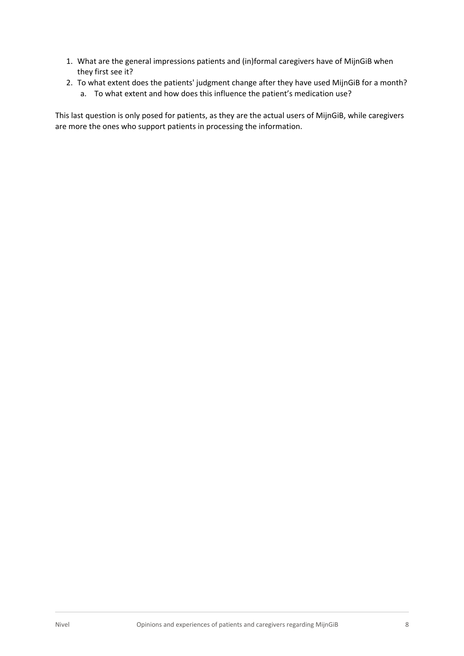- 1. What are the general impressions patients and (in)formal caregivers have of MijnGiB when they first see it?
- 2. To what extent does the patients' judgment change after they have used MijnGiB for a month? a. To what extent and how does this influence the patient's medication use?

This last question is only posed for patients, as they are the actual users of MijnGiB, while caregivers are more the ones who support patients in processing the information.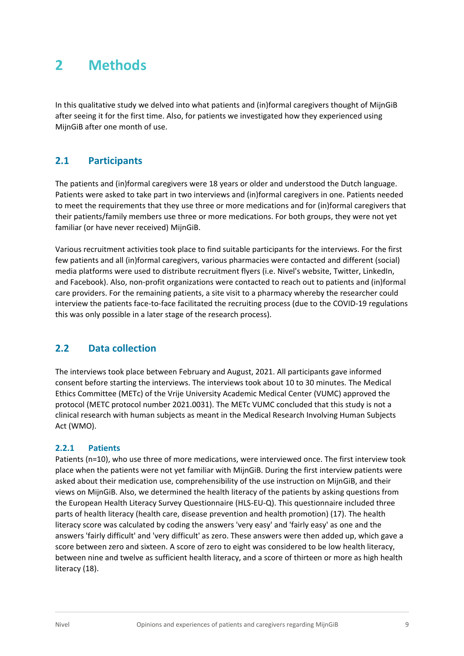### <span id="page-8-0"></span>**2 Methods**

In this qualitative study we delved into what patients and (in)formal caregivers thought of MijnGiB after seeing it for the first time. Also, for patients we investigated how they experienced using MijnGiB after one month of use.

#### <span id="page-8-1"></span>**2.1 Participants**

The patients and (in)formal caregivers were 18 years or older and understood the Dutch language. Patients were asked to take part in two interviews and (in)formal caregivers in one. Patients needed to meet the requirements that they use three or more medications and for (in)formal caregivers that their patients/family members use three or more medications. For both groups, they were not yet familiar (or have never received) MijnGiB.

Various recruitment activities took place to find suitable participants for the interviews. For the first few patients and all (in)formal caregivers, various pharmacies were contacted and different (social) media platforms were used to distribute recruitment flyers (i.e. Nivel's website, Twitter, LinkedIn, and Facebook). Also, non-profit organizations were contacted to reach out to patients and (in)formal care providers. For the remaining patients, a site visit to a pharmacy whereby the researcher could interview the patients face-to-face facilitated the recruiting process (due to the COVID-19 regulations this was only possible in a later stage of the research process).

#### <span id="page-8-2"></span>**2.2 Data collection**

The interviews took place between February and August, 2021. All participants gave informed consent before starting the interviews. The interviews took about 10 to 30 minutes. The Medical Ethics Committee (METc) of the Vrije University Academic Medical Center (VUMC) approved the protocol (METC protocol number 2021.0031). The METc VUMC concluded that this study is not a clinical research with human subjects as meant in the Medical Research Involving Human Subjects Act (WMO).

#### **2.2.1 Patients**

Patients (n=10), who use three of more medications, were interviewed once. The first interview took place when the patients were not yet familiar with MijnGiB. During the first interview patients were asked about their medication use, comprehensibility of the use instruction on MijnGiB, and their views on MijnGiB. Also, we determined the health literacy of the patients by asking questions from the European Health Literacy Survey Questionnaire (HLS-EU-Q). This questionnaire included three parts of health literacy (health care, disease prevention and health promotion) (17). The health literacy score was calculated by coding the answers 'very easy' and 'fairly easy' as one and the answers 'fairly difficult' and 'very difficult' as zero. These answers were then added up, which gave a score between zero and sixteen. A score of zero to eight was considered to be low health literacy, between nine and twelve as sufficient health literacy, and a score of thirteen or more as high health literacy (18).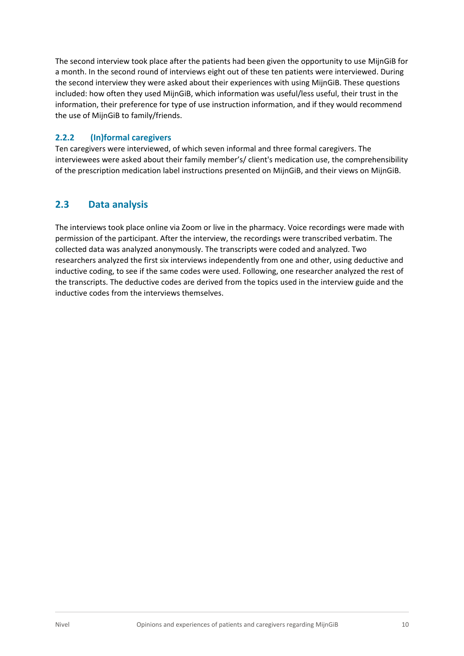The second interview took place after the patients had been given the opportunity to use MijnGiB for a month. In the second round of interviews eight out of these ten patients were interviewed. During the second interview they were asked about their experiences with using MijnGiB. These questions included: how often they used MijnGiB, which information was useful/less useful, their trust in the information, their preference for type of use instruction information, and if they would recommend the use of MijnGiB to family/friends.

#### **2.2.2 (In)formal caregivers**

Ten caregivers were interviewed, of which seven informal and three formal caregivers. The interviewees were asked about their family member's/ client's medication use, the comprehensibility of the prescription medication label instructions presented on MijnGiB, and their views on MijnGiB.

#### <span id="page-9-0"></span>**2.3 Data analysis**

The interviews took place online via Zoom or live in the pharmacy. Voice recordings were made with permission of the participant. After the interview, the recordings were transcribed verbatim. The collected data was analyzed anonymously. The transcripts were coded and analyzed. Two researchers analyzed the first six interviews independently from one and other, using deductive and inductive coding, to see if the same codes were used. Following, one researcher analyzed the rest of the transcripts. The deductive codes are derived from the topics used in the interview guide and the inductive codes from the interviews themselves.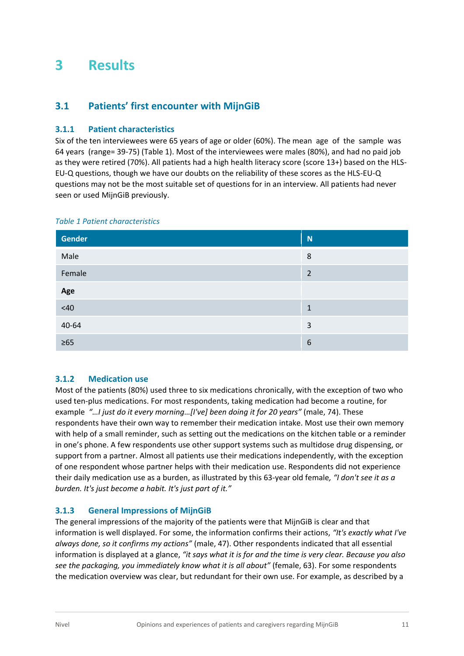# <span id="page-10-0"></span>**3 Results**

#### <span id="page-10-1"></span>**3.1 Patients' first encounter with MijnGiB**

#### **3.1.1 Patient characteristics**

Six of the ten interviewees were 65 years of age or older (60%). The mean age of the sample was 64 years (range= 39-75) (Table 1). Most of the interviewees were males (80%), and had no paid job as they were retired (70%). All patients had a high health literacy score (score 13+) based on the HLS-EU-Q questions, though we have our doubts on the reliability of these scores as the HLS-EU-Q questions may not be the most suitable set of questions for in an interview. All patients had never seen or used MijnGiB previously.

| <b>Gender</b> | N              |
|---------------|----------------|
| Male          | 8              |
| Female        | $\overline{2}$ |
| Age           |                |
| <40           | 1              |
| 40-64         | 3              |
| $\geq 65$     | 6              |

#### *Table 1 Patient characteristics*

#### **3.1.2 Medication use**

Most of the patients (80%) used three to six medications chronically, with the exception of two who used ten-plus medications. For most respondents, taking medication had become a routine, for example *"…I just do it every morning…[I've] been doing it for 20 years"* (male, 74). These respondents have their own way to remember their medication intake. Most use their own memory with help of a small reminder, such as setting out the medications on the kitchen table or a reminder in one's phone. A few respondents use other support systems such as multidose drug dispensing, or support from a partner. Almost all patients use their medications independently, with the exception of one respondent whose partner helps with their medication use. Respondents did not experience their daily medication use as a burden, as illustrated by this 63-year old female*, "I don't see it as a burden. It's just become a habit. It's just part of it."*

#### **3.1.3 General Impressions of MijnGiB**

The general impressions of the majority of the patients were that MijnGiB is clear and that information is well displayed. For some, the information confirms their actions, *"It's exactly what I've always done, so it confirms my actions"* (male, 47). Other respondents indicated that all essential information is displayed at a glance, *"it says what it is for and the time is very clear. Because you also see the packaging, you immediately know what it is all about"* (female, 63). For some respondents the medication overview was clear, but redundant for their own use. For example, as described by a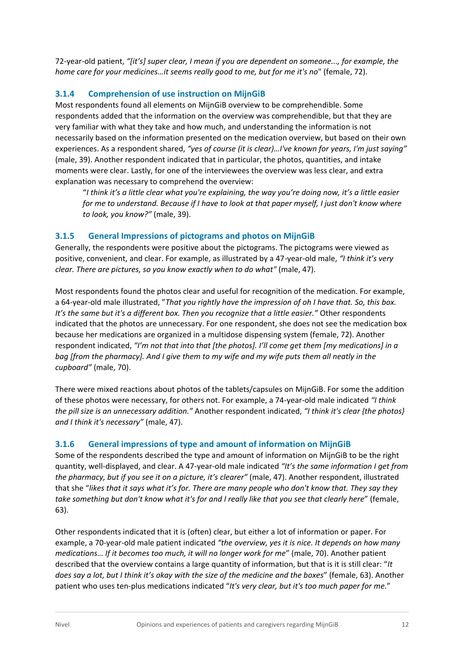72-year-old patient, *"[it's] super clear, I mean if you are dependent on someone..., for example, the home care for your medicines…it seems really good to me, but for me it's no*" (female, 72).

#### **3.1.4 Comprehension of use instruction on MijnGiB**

Most respondents found all elements on MijnGiB overview to be comprehendible. Some respondents added that the information on the overview was comprehendible, but that they are very familiar with what they take and how much, and understanding the information is not necessarily based on the information presented on the medication overview, but based on their own experiences. As a respondent shared, *"yes of course (it is clear)…I've known for years, I'm just saying"* (male, 39). Another respondent indicated that in particular, the photos, quantities, and intake moments were clear. Lastly, for one of the interviewees the overview was less clear, and extra explanation was necessary to comprehend the overview:

"*I think it's a little clear what you're explaining, the way you're doing now, it's a little easier for me to understand. Because if I have to look at that paper myself, I just don't know where to look, you know?"* (male, 39).

#### **3.1.5 General Impressions of pictograms and photos on MijnGiB**

Generally, the respondents were positive about the pictograms. The pictograms were viewed as positive, convenient, and clear. For example, as illustrated by a 47-year-old male, *"I think it's very clear. There are pictures, so you know exactly when to do what"* (male, 47).

Most respondents found the photos clear and useful for recognition of the medication. For example, a 64-year-old male illustrated, "*That you rightly have the impression of oh I have that. So, this box. It's the same but it's a different box. Then you recognize that a little easier."* Other respondents indicated that the photos are unnecessary. For one respondent, she does not see the medication box because her medications are organized in a multidose dispensing system (female, 72). Another respondent indicated, *"I'm not that into that [the photos]. I'll come get them [my medications] in a bag [from the pharmacy]. And I give them to my wife and my wife puts them all neatly in the cupboard"* (male, 70).

There were mixed reactions about photos of the tablets/capsules on MijnGiB. For some the addition of these photos were necessary, for others not. For example, a 74-year-old male indicated *"I think the pill size is an unnecessary addition."* Another respondent indicated, *"I think it's clear {the photos} and I think it's necessary"* (male, 47).

#### **3.1.6 General impressions of type and amount of information on MijnGiB**

Some of the respondents described the type and amount of information on MijnGiB to be the right quantity, well-displayed, and clear. A 47-year-old male indicated *"It's the same information I get from the pharmacy, but if you see it on a picture, it's clearer"* (male, 47). Another respondent, illustrated that she "*likes that it says what it's for. There are many people who don't know that. They say they take something but don't know what it's for and I really like that you see that clearly here*" (female, 63).

Other respondents indicated that it is (often) clear, but either a lot of information or paper. For example, a 70-year-old male patient indicated *"the overview, yes it is nice. It depends on how many medications… If it becomes too much, it will no longer work for me*" (male, 70). Another patient described that the overview contains a large quantity of information, but that is it is still clear: "*It does say a lot, but I think it's okay with the size of the medicine and the boxes*" (female, 63). Another patient who uses ten-plus medications indicated "*It's very clear, but it's too much paper for me*."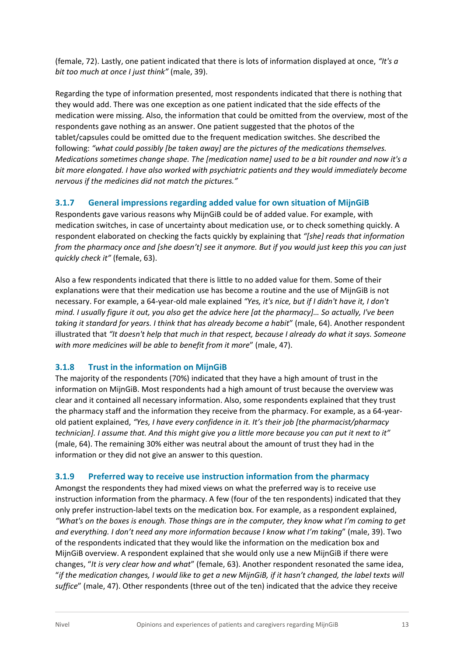(female, 72). Lastly, one patient indicated that there is lots of information displayed at once, *"It's a bit too much at once I just think"* (male, 39).

Regarding the type of information presented, most respondents indicated that there is nothing that they would add. There was one exception as one patient indicated that the side effects of the medication were missing. Also, the information that could be omitted from the overview, most of the respondents gave nothing as an answer. One patient suggested that the photos of the tablet/capsules could be omitted due to the frequent medication switches. She described the following: *"what could possibly [be taken away] are the pictures of the medications themselves. Medications sometimes change shape. The [medication name] used to be a bit rounder and now it's a bit more elongated. I have also worked with psychiatric patients and they would immediately become nervous if the medicines did not match the pictures."* 

#### **3.1.7 General impressions regarding added value for own situation of MijnGiB**

Respondents gave various reasons why MijnGiB could be of added value. For example, with medication switches, in case of uncertainty about medication use, or to check something quickly. A respondent elaborated on checking the facts quickly by explaining that *"[she] reads that information from the pharmacy once and [she doesn't] see it anymore. But if you would just keep this you can just quickly check it"* (female, 63).

Also a few respondents indicated that there is little to no added value for them. Some of their explanations were that their medication use has become a routine and the use of MijnGiB is not necessary. For example, a 64-year-old male explained *"Yes, it's nice, but if I didn't have it, I don't mind. I usually figure it out, you also get the advice here [at the pharmacy]… So actually, I've been taking it standard for years. I think that has already become a habit*" (male, 64). Another respondent illustrated that *"It doesn't help that much in that respect, because I already do what it says. Someone with more medicines will be able to benefit from it more*" (male, 47).

#### **3.1.8 Trust in the information on MijnGiB**

The majority of the respondents (70%) indicated that they have a high amount of trust in the information on MijnGiB. Most respondents had a high amount of trust because the overview was clear and it contained all necessary information. Also, some respondents explained that they trust the pharmacy staff and the information they receive from the pharmacy. For example, as a 64-yearold patient explained, *"Yes, I have every confidence in it. It's their job [the pharmacist/pharmacy technician]. I assume that. And this might give you a little more because you can put it next to it"* (male, 64). The remaining 30% either was neutral about the amount of trust they had in the information or they did not give an answer to this question.

#### **3.1.9 Preferred way to receive use instruction information from the pharmacy**

Amongst the respondents they had mixed views on what the preferred way is to receive use instruction information from the pharmacy. A few (four of the ten respondents) indicated that they only prefer instruction-label texts on the medication box. For example, as a respondent explained, *"What's on the boxes is enough. Those things are in the computer, they know what I'm coming to get and everything. I don't need any more information because I know what I'm taking*" (male, 39). Two of the respondents indicated that they would like the information on the medication box and MijnGiB overview. A respondent explained that she would only use a new MijnGiB if there were changes, "*It is very clear how and what*" (female, 63). Another respondent resonated the same idea, "*if the medication changes, I would like to get a new MijnGiB, if it hasn't changed, the label texts will suffice*" (male, 47). Other respondents (three out of the ten) indicated that the advice they receive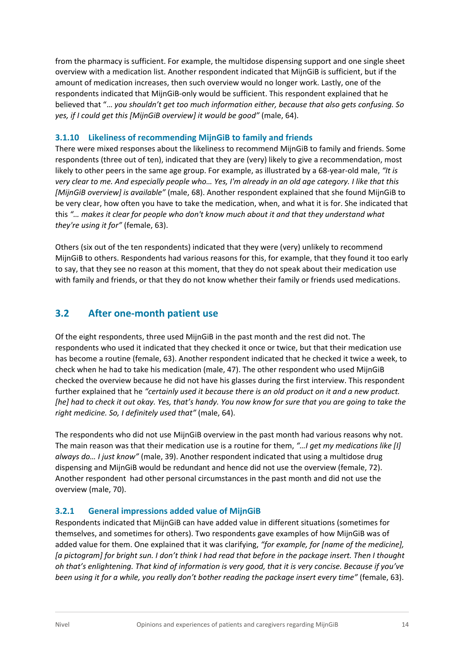from the pharmacy is sufficient. For example, the multidose dispensing support and one single sheet overview with a medication list. Another respondent indicated that MijnGiB is sufficient, but if the amount of medication increases, then such overview would no longer work. Lastly, one of the respondents indicated that MijnGiB-only would be sufficient. This respondent explained that he believed that "… *you shouldn't get too much information either, because that also gets confusing. So yes, if I could get this [MijnGiB overview] it would be good"* (male, 64).

#### **3.1.10 Likeliness of recommending MijnGiB to family and friends**

There were mixed responses about the likeliness to recommend MijnGiB to family and friends. Some respondents (three out of ten), indicated that they are (very) likely to give a recommendation, most likely to other peers in the same age group. For example, as illustrated by a 68-year-old male, *"It is very clear to me. And especially people who… Yes, I'm already in an old age category. I like that this [MijnGiB overview] is available"* (male, 68). Another respondent explained that she found MijnGiB to be very clear, how often you have to take the medication, when, and what it is for. She indicated that this *"… makes it clear for people who don't know much about it and that they understand what they're using it for"* (female, 63).

Others (six out of the ten respondents) indicated that they were (very) unlikely to recommend MijnGiB to others. Respondents had various reasons for this, for example, that they found it too early to say, that they see no reason at this moment, that they do not speak about their medication use with family and friends, or that they do not know whether their family or friends used medications.

#### <span id="page-13-0"></span>**3.2 After one-month patient use**

Of the eight respondents, three used MijnGiB in the past month and the rest did not. The respondents who used it indicated that they checked it once or twice, but that their medication use has become a routine (female, 63). Another respondent indicated that he checked it twice a week, to check when he had to take his medication (male, 47). The other respondent who used MijnGiB checked the overview because he did not have his glasses during the first interview. This respondent further explained that he *"certainly used it because there is an old product on it and a new product. [he] had to check it out okay. Yes, that's handy. You now know for sure that you are going to take the right medicine. So, I definitely used that"* (male, 64).

The respondents who did not use MijnGiB overview in the past month had various reasons why not. The main reason was that their medication use is a routine for them, *"…I get my medications like [I] always do… I just know"* (male, 39). Another respondent indicated that using a multidose drug dispensing and MijnGiB would be redundant and hence did not use the overview (female, 72). Another respondent had other personal circumstances in the past month and did not use the overview (male, 70).

#### **3.2.1 General impressions added value of MijnGiB**

Respondents indicated that MijnGiB can have added value in different situations (sometimes for themselves, and sometimes for others). Two respondents gave examples of how MijnGiB was of added value for them. One explained that it was clarifying, *"for example, for [name of the medicine], [a pictogram] for bright sun. I don't think I had read that before in the package insert. Then I thought oh that's enlightening. That kind of information is very good, that it is very concise. Because if you've been using it for a while, you really don't bother reading the package insert every time"* (female, 63).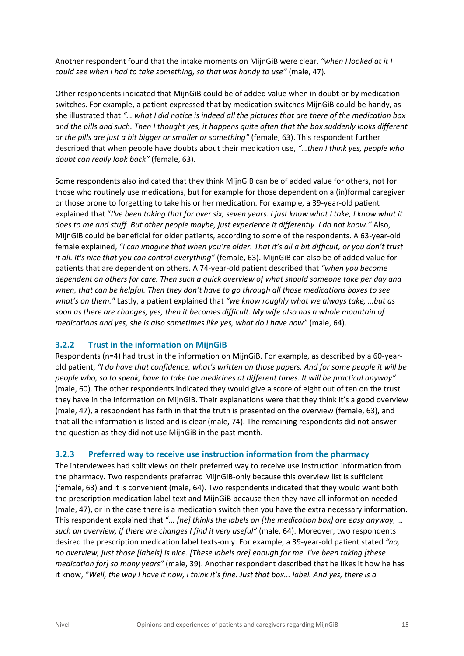Another respondent found that the intake moments on MijnGiB were clear, *"when I looked at it I could see when I had to take something, so that was handy to use"* (male, 47).

Other respondents indicated that MijnGiB could be of added value when in doubt or by medication switches. For example, a patient expressed that by medication switches MijnGiB could be handy, as she illustrated that *"… what I did notice is indeed all the pictures that are there of the medication box and the pills and such. Then I thought yes, it happens quite often that the box suddenly looks different or the pills are just a bit bigger or smaller or something"* (female, 63). This respondent further described that when people have doubts about their medication use, *"…then I think yes, people who doubt can really look back"* (female, 63).

Some respondents also indicated that they think MijnGiB can be of added value for others, not for those who routinely use medications, but for example for those dependent on a (in)formal caregiver or those prone to forgetting to take his or her medication. For example, a 39-year-old patient explained that "*I've been taking that for over six, seven years. I just know what I take, I know what it does to me and stuff. But other people maybe, just experience it differently. I do not know."* Also, MijnGiB could be beneficial for older patients, according to some of the respondents. A 63-year-old female explained, *"I can imagine that when you're older. That it's all a bit difficult, or you don't trust it all. It's nice that you can control everything"* (female, 63). MijnGiB can also be of added value for patients that are dependent on others. A 74-year-old patient described that *"when you become dependent on others for care. Then such a quick overview of what should someone take per day and when, that can be helpful. Then they don't have to go through all those medications boxes to see what's on them."* Lastly, a patient explained that *"we know roughly what we always take, …but as soon as there are changes, yes, then it becomes difficult. My wife also has a whole mountain of medications and yes, she is also sometimes like yes, what do I have now"* (male, 64).

#### **3.2.2 Trust in the information on MijnGiB**

Respondents (n=4) had trust in the information on MijnGiB. For example, as described by a 60-yearold patient, *"I do have that confidence, what's written on those papers. And for some people it will be people who, so to speak, have to take the medicines at different times. It will be practical anyway"* (male, 60). The other respondents indicated they would give a score of eight out of ten on the trust they have in the information on MijnGiB. Their explanations were that they think it's a good overview (male, 47), a respondent has faith in that the truth is presented on the overview (female, 63), and that all the information is listed and is clear (male, 74). The remaining respondents did not answer the question as they did not use MijnGiB in the past month.

#### **3.2.3 Preferred way to receive use instruction information from the pharmacy**

The interviewees had split views on their preferred way to receive use instruction information from the pharmacy. Two respondents preferred MijnGiB-only because this overview list is sufficient (female, 63) and it is convenient (male, 64). Two respondents indicated that they would want both the prescription medication label text and MijnGiB because then they have all information needed (male, 47), or in the case there is a medication switch then you have the extra necessary information. This respondent explained that "*… [he] thinks the labels on [the medication box] are easy anyway, … such an overview, if there are changes I find it very useful"* (male, 64). Moreover, two respondents desired the prescription medication label texts-only. For example, a 39-year-old patient stated *"no, no overview, just those [labels] is nice. [These labels are] enough for me. I've been taking [these medication for] so many years"* (male, 39). Another respondent described that he likes it how he has it know, *"Well, the way I have it now, I think it's fine. Just that box... label. And yes, there is a*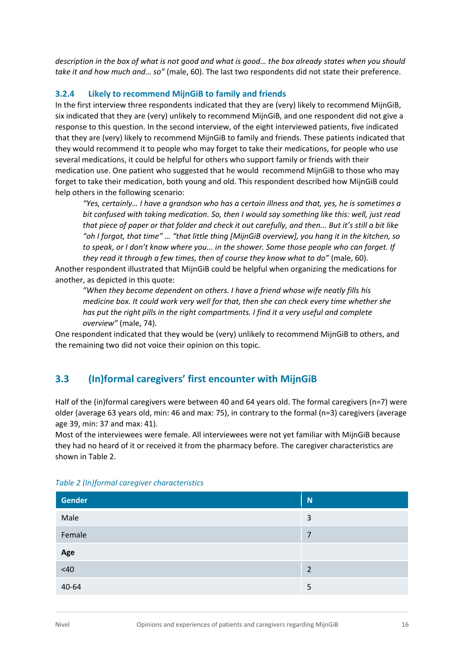*description in the box of what is not good and what is good… the box already states when you should take it and how much and… so"* (male, 60). The last two respondents did not state their preference.

#### **3.2.4 Likely to recommend MijnGiB to family and friends**

In the first interview three respondents indicated that they are (very) likely to recommend MijnGiB, six indicated that they are (very) unlikely to recommend MijnGiB, and one respondent did not give a response to this question. In the second interview, of the eight interviewed patients, five indicated that they are (very) likely to recommend MijnGiB to family and friends. These patients indicated that they would recommend it to people who may forget to take their medications, for people who use several medications, it could be helpful for others who support family or friends with their medication use. One patient who suggested that he would recommend MijnGiB to those who may forget to take their medication, both young and old. This respondent described how MijnGiB could help others in the following scenario:

*"Yes, certainly… I have a grandson who has a certain illness and that, yes, he is sometimes a bit confused with taking medication. So, then I would say something like this: well, just read that piece of paper or that folder and check it out carefully, and then... But it's still a bit like "oh I forgot, that time" … "that little thing [MijnGiB overview], you hang it in the kitchen, so to speak, or I don't know where you... in the shower. Some those people who can forget. If they read it through a few times, then of course they know what to do"* (male, 60).

Another respondent illustrated that MijnGiB could be helpful when organizing the medications for another, as depicted in this quote:

*"When they become dependent on others. I have a friend whose wife neatly fills his medicine box. It could work very well for that, then she can check every time whether she has put the right pills in the right compartments. I find it a very useful and complete overview"* (male, 74).

<span id="page-15-0"></span>One respondent indicated that they would be (very) unlikely to recommend MijnGiB to others, and the remaining two did not voice their opinion on this topic.

#### **3.3 (In)formal caregivers' first encounter with MijnGiB**

Half of the (in)formal caregivers were between 40 and 64 years old. The formal caregivers (n=7) were older (average 63 years old, min: 46 and max: 75), in contrary to the formal (n=3) caregivers (average age 39, min: 37 and max: 41).

Most of the interviewees were female. All interviewees were not yet familiar with MijnGiB because they had no heard of it or received it from the pharmacy before. The caregiver characteristics are shown in Table 2.

| Gender | N              |
|--------|----------------|
| Male   | 3              |
| Female | $\overline{7}$ |
| Age    |                |
| $<40$  | 2              |
| 40-64  | 5              |

#### *Table 2 (In)formal caregiver characteristics*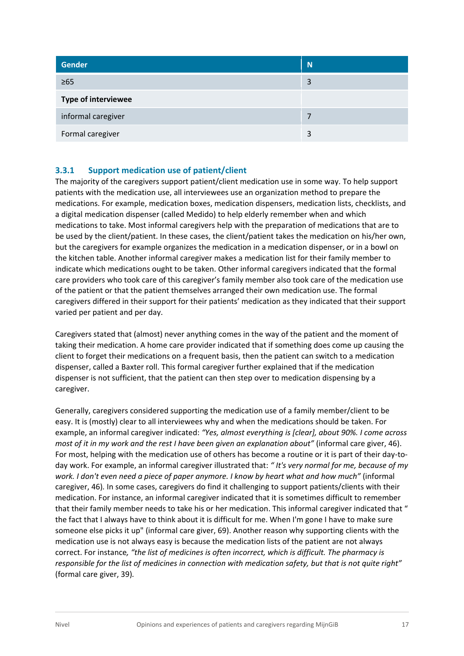| <b>Gender</b>              | N |
|----------------------------|---|
| $\geq 65$                  | 3 |
| <b>Type of interviewee</b> |   |
| informal caregiver         | 7 |
| Formal caregiver           | 3 |

#### **3.3.1 Support medication use of patient/client**

The majority of the caregivers support patient/client medication use in some way. To help support patients with the medication use, all interviewees use an organization method to prepare the medications. For example, medication boxes, medication dispensers, medication lists, checklists, and a digital medication dispenser (called Medido) to help elderly remember when and which medications to take. Most informal caregivers help with the preparation of medications that are to be used by the client/patient. In these cases, the client/patient takes the medication on his/her own, but the caregivers for example organizes the medication in a medication dispenser, or in a bowl on the kitchen table. Another informal caregiver makes a medication list for their family member to indicate which medications ought to be taken. Other informal caregivers indicated that the formal care providers who took care of this caregiver's family member also took care of the medication use of the patient or that the patient themselves arranged their own medication use. The formal caregivers differed in their support for their patients' medication as they indicated that their support varied per patient and per day.

Caregivers stated that (almost) never anything comes in the way of the patient and the moment of taking their medication. A home care provider indicated that if something does come up causing the client to forget their medications on a frequent basis, then the patient can switch to a medication dispenser, called a Baxter roll. This formal caregiver further explained that if the medication dispenser is not sufficient, that the patient can then step over to medication dispensing by a caregiver.

Generally, caregivers considered supporting the medication use of a family member/client to be easy. It is (mostly) clear to all interviewees why and when the medications should be taken. For example, an informal caregiver indicated: *"Yes, almost everything is [clear], about 90%. I come across most of it in my work and the rest I have been given an explanation about"* (informal care giver, 46). For most, helping with the medication use of others has become a routine or it is part of their day-today work. For example, an informal caregiver illustrated that: *" It's very normal for me, because of my work. I don't even need a piece of paper anymore. I know by heart what and how much"* (informal caregiver, 46)*.* In some cases, caregivers do find it challenging to support patients/clients with their medication. For instance, an informal caregiver indicated that it is sometimes difficult to remember that their family member needs to take his or her medication. This informal caregiver indicated that " the fact that I always have to think about it is difficult for me. When I'm gone I have to make sure someone else picks it up" (informal care giver, 69). Another reason why supporting clients with the medication use is not always easy is because the medication lists of the patient are not always correct. For instance*, "the list of medicines is often incorrect, which is difficult. The pharmacy is responsible for the list of medicines in connection with medication safety, but that is not quite right"*  (formal care giver, 39)*.*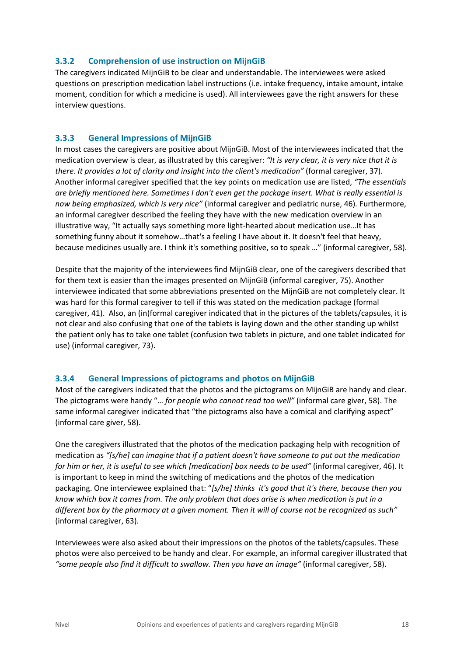#### **3.3.2 Comprehension of use instruction on MijnGiB**

The caregivers indicated MijnGiB to be clear and understandable. The interviewees were asked questions on prescription medication label instructions (i.e. intake frequency, intake amount, intake moment, condition for which a medicine is used). All interviewees gave the right answers for these interview questions.

#### **3.3.3 General Impressions of MijnGiB**

In most cases the caregivers are positive about MijnGiB. Most of the interviewees indicated that the medication overview is clear, as illustrated by this caregiver: *"It is very clear, it is very nice that it is there. It provides a lot of clarity and insight into the client's medication"* (formal caregiver, 37)*.* Another informal caregiver specified that the key points on medication use are listed, *"The essentials are briefly mentioned here. Sometimes I don't even get the package insert. What is really essential is now being emphasized, which is very nice"* (informal caregiver and pediatric nurse, 46)*.* Furthermore, an informal caregiver described the feeling they have with the new medication overview in an illustrative way, "It actually says something more light-hearted about medication use…It has something funny about it somehow…that's a feeling I have about it. It doesn't feel that heavy, because medicines usually are. I think it's something positive, so to speak …" (informal caregiver, 58).

Despite that the majority of the interviewees find MijnGiB clear, one of the caregivers described that for them text is easier than the images presented on MijnGiB (informal caregiver, 75). Another interviewee indicated that some abbreviations presented on the MijnGiB are not completely clear. It was hard for this formal caregiver to tell if this was stated on the medication package (formal caregiver, 41). Also, an (in)formal caregiver indicated that in the pictures of the tablets/capsules, it is not clear and also confusing that one of the tablets is laying down and the other standing up whilst the patient only has to take one tablet (confusion two tablets in picture, and one tablet indicated for use) (informal caregiver, 73).

#### **3.3.4 General Impressions of pictograms and photos on MijnGiB**

Most of the caregivers indicated that the photos and the pictograms on MijnGiB are handy and clear. The pictograms were handy "… *for people who cannot read too well"* (informal care giver, 58). The same informal caregiver indicated that "the pictograms also have a comical and clarifying aspect" (informal care giver, 58).

One the caregivers illustrated that the photos of the medication packaging help with recognition of medication as *"[s/he] can imagine that if a patient doesn't have someone to put out the medication for him or her, it is useful to see which [medication] box needs to be used"* (informal caregiver, 46). It is important to keep in mind the switching of medications and the photos of the medication packaging. One interviewee explained that: "*[s/he] thinks it's good that it's there, because then you know which box it comes from. The only problem that does arise is when medication is put in a different box by the pharmacy at a given moment. Then it will of course not be recognized as such"* (informal caregiver, 63).

Interviewees were also asked about their impressions on the photos of the tablets/capsules. These photos were also perceived to be handy and clear. For example, an informal caregiver illustrated that *"some people also find it difficult to swallow. Then you have an image"* (informal caregiver, 58).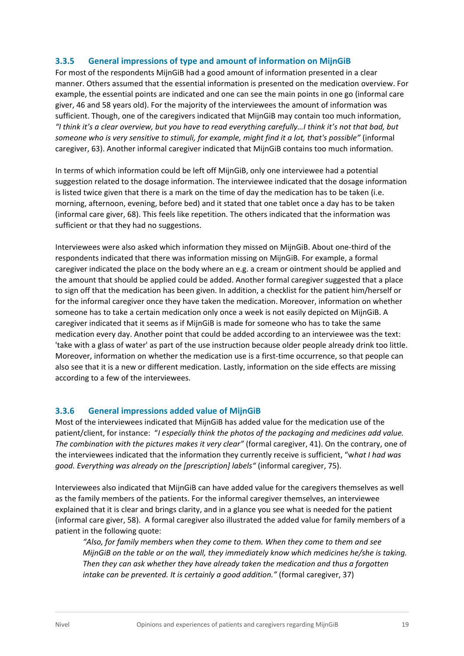#### **3.3.5 General impressions of type and amount of information on MijnGiB**

For most of the respondents MijnGiB had a good amount of information presented in a clear manner. Others assumed that the essential information is presented on the medication overview. For example, the essential points are indicated and one can see the main points in one go (informal care giver, 46 and 58 years old). For the majority of the interviewees the amount of information was sufficient. Though, one of the caregivers indicated that MijnGiB may contain too much information, *"I think it's a clear overview, but you have to read everything carefully…I think it's not that bad, but someone who is very sensitive to stimuli, for example, might find it a lot, that's possible"* (informal caregiver, 63). Another informal caregiver indicated that MijnGiB contains too much information.

In terms of which information could be left off MijnGiB, only one interviewee had a potential suggestion related to the dosage information. The interviewee indicated that the dosage information is listed twice given that there is a mark on the time of day the medication has to be taken (i.e. morning, afternoon, evening, before bed) and it stated that one tablet once a day has to be taken (informal care giver, 68). This feels like repetition. The others indicated that the information was sufficient or that they had no suggestions.

Interviewees were also asked which information they missed on MijnGiB. About one-third of the respondents indicated that there was information missing on MijnGiB. For example, a formal caregiver indicated the place on the body where an e.g. a cream or ointment should be applied and the amount that should be applied could be added. Another formal caregiver suggested that a place to sign off that the medication has been given. In addition, a checklist for the patient him/herself or for the informal caregiver once they have taken the medication. Moreover, information on whether someone has to take a certain medication only once a week is not easily depicted on MijnGiB. A caregiver indicated that it seems as if MijnGiB is made for someone who has to take the same medication every day. Another point that could be added according to an interviewee was the text: 'take with a glass of water' as part of the use instruction because older people already drink too little. Moreover, information on whether the medication use is a first-time occurrence, so that people can also see that it is a new or different medication. Lastly, information on the side effects are missing according to a few of the interviewees.

#### **3.3.6 General impressions added value of MijnGiB**

Most of the interviewees indicated that MijnGiB has added value for the medication use of the patient/client, for instance: "*I especially think the photos of the packaging and medicines add value. The combination with the pictures makes it very clear"* (formal caregiver, 41). On the contrary, one of the interviewees indicated that the information they currently receive is sufficient, "w*hat I had was good. Everything was already on the [prescription] labels"* (informal caregiver, 75).

Interviewees also indicated that MijnGiB can have added value for the caregivers themselves as well as the family members of the patients. For the informal caregiver themselves, an interviewee explained that it is clear and brings clarity, and in a glance you see what is needed for the patient (informal care giver, 58). A formal caregiver also illustrated the added value for family members of a patient in the following quote:

*"Also, for family members when they come to them. When they come to them and see MijnGiB on the table or on the wall, they immediately know which medicines he/she is taking. Then they can ask whether they have already taken the medication and thus a forgotten intake can be prevented. It is certainly a good addition."* (formal caregiver, 37)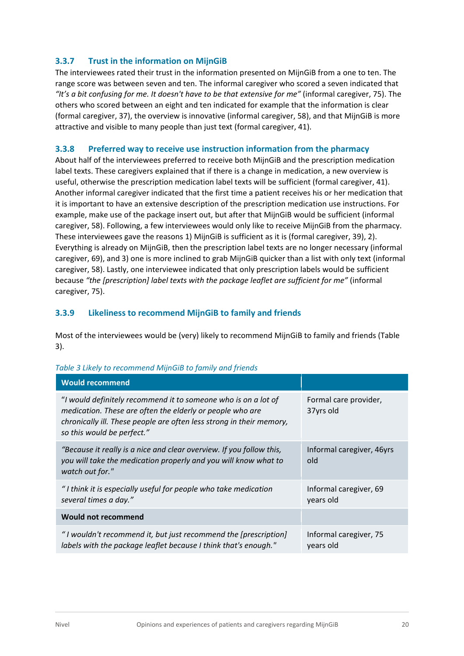#### **3.3.7 Trust in the information on MijnGiB**

The interviewees rated their trust in the information presented on MijnGiB from a one to ten. The range score was between seven and ten. The informal caregiver who scored a seven indicated that *"It's a bit confusing for me. It doesn't have to be that extensive for me"* (informal caregiver, 75). The others who scored between an eight and ten indicated for example that the information is clear (formal caregiver, 37), the overview is innovative (informal caregiver, 58), and that MijnGiB is more attractive and visible to many people than just text (formal caregiver, 41).

#### **3.3.8 Preferred way to receive use instruction information from the pharmacy**

About half of the interviewees preferred to receive both MijnGiB and the prescription medication label texts. These caregivers explained that if there is a change in medication, a new overview is useful, otherwise the prescription medication label texts will be sufficient (formal caregiver, 41). Another informal caregiver indicated that the first time a patient receives his or her medication that it is important to have an extensive description of the prescription medication use instructions. For example, make use of the package insert out, but after that MijnGiB would be sufficient (informal caregiver, 58). Following, a few interviewees would only like to receive MijnGiB from the pharmacy. These interviewees gave the reasons 1) MijnGiB is sufficient as it is (formal caregiver, 39), 2). Everything is already on MijnGiB, then the prescription label texts are no longer necessary (informal caregiver, 69), and 3) one is more inclined to grab MijnGiB quicker than a list with only text (informal caregiver, 58). Lastly, one interviewee indicated that only prescription labels would be sufficient because *"the [prescription] label texts with the package leaflet are sufficient for me"* (informal caregiver, 75).

#### **3.3.9 Likeliness to recommend MijnGiB to family and friends**

Most of the interviewees would be (very) likely to recommend MijnGiB to family and friends (Table 3).

| <b>Would recommend</b>                                                                                                                                                                                                            |                                     |
|-----------------------------------------------------------------------------------------------------------------------------------------------------------------------------------------------------------------------------------|-------------------------------------|
| "I would definitely recommend it to someone who is on a lot of<br>medication. These are often the elderly or people who are<br>chronically ill. These people are often less strong in their memory,<br>so this would be perfect." | Formal care provider,<br>37yrs old  |
| "Because it really is a nice and clear overview. If you follow this,<br>you will take the medication properly and you will know what to<br>watch out for."                                                                        | Informal caregiver, 46yrs<br>old    |
| "I think it is especially useful for people who take medication<br>several times a day."                                                                                                                                          | Informal caregiver, 69<br>years old |
| <b>Would not recommend</b>                                                                                                                                                                                                        |                                     |
| "I wouldn't recommend it, but just recommend the [prescription]<br>labels with the package leaflet because I think that's enough."                                                                                                | Informal caregiver, 75<br>years old |

#### *Table 3 Likely to recommend MijnGiB to family and friends*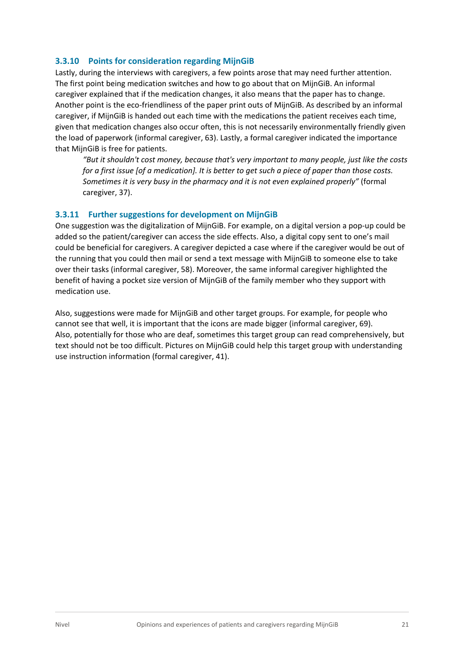#### **3.3.10 Points for consideration regarding MijnGiB**

Lastly, during the interviews with caregivers, a few points arose that may need further attention. The first point being medication switches and how to go about that on MijnGiB. An informal caregiver explained that if the medication changes, it also means that the paper has to change. Another point is the eco-friendliness of the paper print outs of MijnGiB. As described by an informal caregiver, if MijnGiB is handed out each time with the medications the patient receives each time, given that medication changes also occur often, this is not necessarily environmentally friendly given the load of paperwork (informal caregiver, 63). Lastly, a formal caregiver indicated the importance that MijnGiB is free for patients.

*"But it shouldn't cost money, because that's very important to many people, just like the costs for a first issue [of a medication]. It is better to get such a piece of paper than those costs. Sometimes it is very busy in the pharmacy and it is not even explained properly"* (formal caregiver, 37).

#### **3.3.11 Further suggestions for development on MijnGiB**

One suggestion was the digitalization of MijnGiB. For example, on a digital version a pop-up could be added so the patient/caregiver can access the side effects. Also, a digital copy sent to one's mail could be beneficial for caregivers. A caregiver depicted a case where if the caregiver would be out of the running that you could then mail or send a text message with MijnGiB to someone else to take over their tasks (informal caregiver, 58). Moreover, the same informal caregiver highlighted the benefit of having a pocket size version of MijnGiB of the family member who they support with medication use.

Also, suggestions were made for MijnGiB and other target groups. For example, for people who cannot see that well, it is important that the icons are made bigger (informal caregiver, 69). Also, potentially for those who are deaf, sometimes this target group can read comprehensively, but text should not be too difficult. Pictures on MijnGiB could help this target group with understanding use instruction information (formal caregiver, 41).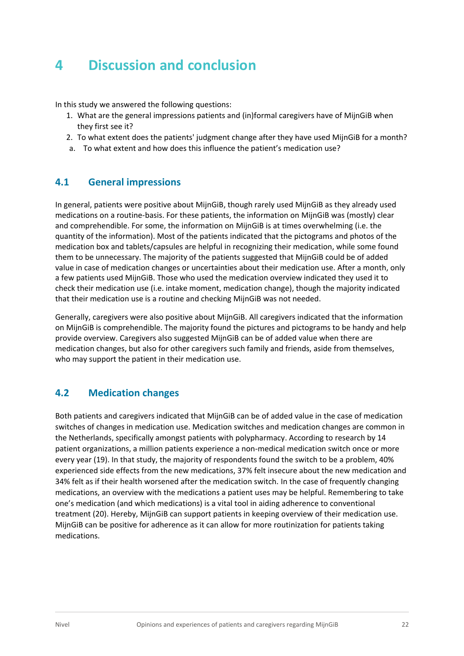# <span id="page-21-0"></span>**4 Discussion and conclusion**

In this study we answered the following questions:

- 1. What are the general impressions patients and (in)formal caregivers have of MijnGiB when they first see it?
- 2. To what extent does the patients' judgment change after they have used MijnGiB for a month?
- a. To what extent and how does this influence the patient's medication use?

#### **4.1 General impressions**

In general, patients were positive about MijnGiB, though rarely used MijnGiB as they already used medications on a routine-basis. For these patients, the information on MijnGiB was (mostly) clear and comprehendible. For some, the information on MijnGiB is at times overwhelming (i.e. the quantity of the information). Most of the patients indicated that the pictograms and photos of the medication box and tablets/capsules are helpful in recognizing their medication, while some found them to be unnecessary. The majority of the patients suggested that MijnGiB could be of added value in case of medication changes or uncertainties about their medication use. After a month, only a few patients used MijnGiB. Those who used the medication overview indicated they used it to check their medication use (i.e. intake moment, medication change), though the majority indicated that their medication use is a routine and checking MijnGiB was not needed.

Generally, caregivers were also positive about MijnGiB. All caregivers indicated that the information on MijnGiB is comprehendible. The majority found the pictures and pictograms to be handy and help provide overview. Caregivers also suggested MijnGiB can be of added value when there are medication changes, but also for other caregivers such family and friends, aside from themselves, who may support the patient in their medication use.

#### **4.2 Medication changes**

Both patients and caregivers indicated that MijnGiB can be of added value in the case of medication switches of changes in medication use. Medication switches and medication changes are common in the Netherlands, specifically amongst patients with polypharmacy. According to research by 14 patient organizations, a million patients experience a non-medical medication switch once or more every year (19). In that study, the majority of respondents found the switch to be a problem, 40% experienced side effects from the new medications, 37% felt insecure about the new medication and 34% felt as if their health worsened after the medication switch. In the case of frequently changing medications, an overview with the medications a patient uses may be helpful. Remembering to take one's medication (and which medications) is a vital tool in aiding adherence to conventional treatment (20). Hereby, MijnGiB can support patients in keeping overview of their medication use. MijnGiB can be positive for adherence as it can allow for more routinization for patients taking medications.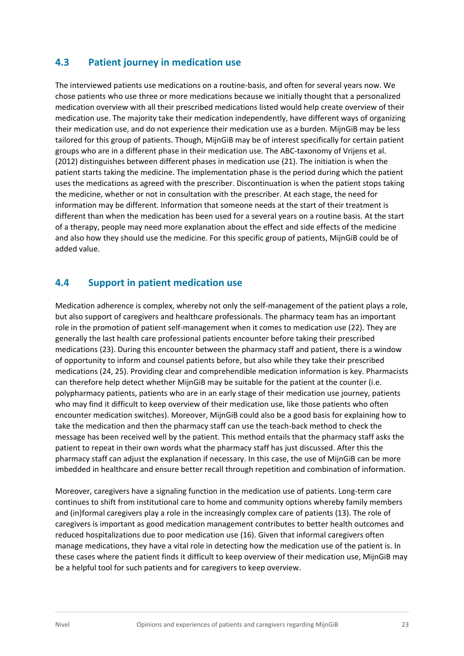#### **4.3 Patient journey in medication use**

The interviewed patients use medications on a routine-basis, and often for several years now. We chose patients who use three or more medications because we initially thought that a personalized medication overview with all their prescribed medications listed would help create overview of their medication use. The majority take their medication independently, have different ways of organizing their medication use, and do not experience their medication use as a burden. MijnGiB may be less tailored for this group of patients. Though, MijnGiB may be of interest specifically for certain patient groups who are in a different phase in their medication use. The ABC-taxonomy of Vrijens et al. (2012) distinguishes between different phases in medication use (21). The initiation is when the patient starts taking the medicine. The implementation phase is the period during which the patient uses the medications as agreed with the prescriber. Discontinuation is when the patient stops taking the medicine, whether or not in consultation with the prescriber. At each stage, the need for information may be different. Information that someone needs at the start of their treatment is different than when the medication has been used for a several years on a routine basis. At the start of a therapy, people may need more explanation about the effect and side effects of the medicine and also how they should use the medicine. For this specific group of patients, MijnGiB could be of added value.

#### **4.4 Support in patient medication use**

Medication adherence is complex, whereby not only the self-management of the patient plays a role, but also support of caregivers and healthcare professionals. The pharmacy team has an important role in the promotion of patient self-management when it comes to medication use (22). They are generally the last health care professional patients encounter before taking their prescribed medications (23). During this encounter between the pharmacy staff and patient, there is a window of opportunity to inform and counsel patients before, but also while they take their prescribed medications (24, 25). Providing clear and comprehendible medication information is key. Pharmacists can therefore help detect whether MijnGiB may be suitable for the patient at the counter (i.e. polypharmacy patients, patients who are in an early stage of their medication use journey, patients who may find it difficult to keep overview of their medication use, like those patients who often encounter medication switches). Moreover, MijnGiB could also be a good basis for explaining how to take the medication and then the pharmacy staff can use the teach-back method to check the message has been received well by the patient. This method entails that the pharmacy staff asks the patient to repeat in their own words what the pharmacy staff has just discussed. After this the pharmacy staff can adjust the explanation if necessary. In this case, the use of MijnGiB can be more imbedded in healthcare and ensure better recall through repetition and combination of information.

Moreover, caregivers have a signaling function in the medication use of patients. Long-term care continues to shift from institutional care to home and community options whereby family members and (in)formal caregivers play a role in the increasingly complex care of patients (13). The role of caregivers is important as good medication management contributes to better health outcomes and reduced hospitalizations due to poor medication use (16). Given that informal caregivers often manage medications, they have a vital role in detecting how the medication use of the patient is. In these cases where the patient finds it difficult to keep overview of their medication use, MijnGiB may be a helpful tool for such patients and for caregivers to keep overview.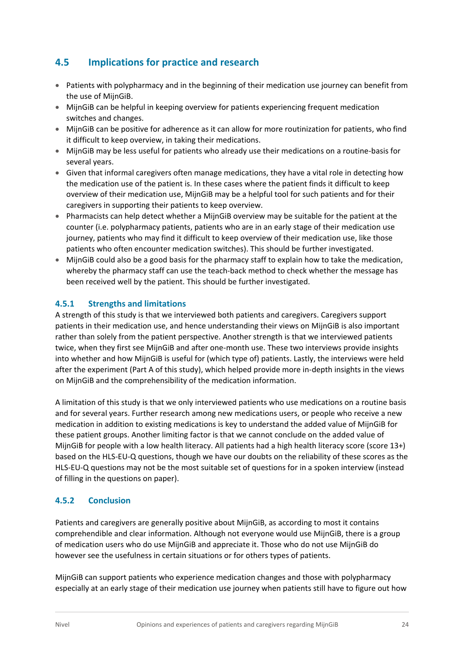#### **4.5 Implications for practice and research**

- Patients with polypharmacy and in the beginning of their medication use journey can benefit from the use of MijnGiB.
- MijnGiB can be helpful in keeping overview for patients experiencing frequent medication switches and changes.
- MijnGiB can be positive for adherence as it can allow for more routinization for patients, who find it difficult to keep overview, in taking their medications.
- MijnGiB may be less useful for patients who already use their medications on a routine-basis for several years.
- Given that informal caregivers often manage medications, they have a vital role in detecting how the medication use of the patient is. In these cases where the patient finds it difficult to keep overview of their medication use, MijnGiB may be a helpful tool for such patients and for their caregivers in supporting their patients to keep overview.
- Pharmacists can help detect whether a MijnGiB overview may be suitable for the patient at the counter (i.e. polypharmacy patients, patients who are in an early stage of their medication use journey, patients who may find it difficult to keep overview of their medication use, like those patients who often encounter medication switches). This should be further investigated.
- MijnGiB could also be a good basis for the pharmacy staff to explain how to take the medication, whereby the pharmacy staff can use the teach-back method to check whether the message has been received well by the patient. This should be further investigated.

#### **4.5.1 Strengths and limitations**

A strength of this study is that we interviewed both patients and caregivers. Caregivers support patients in their medication use, and hence understanding their views on MijnGiB is also important rather than solely from the patient perspective. Another strength is that we interviewed patients twice, when they first see MijnGiB and after one-month use. These two interviews provide insights into whether and how MijnGiB is useful for (which type of) patients. Lastly, the interviews were held after the experiment (Part A of this study), which helped provide more in-depth insights in the views on MijnGiB and the comprehensibility of the medication information.

A limitation of this study is that we only interviewed patients who use medications on a routine basis and for several years. Further research among new medications users, or people who receive a new medication in addition to existing medications is key to understand the added value of MijnGiB for these patient groups. Another limiting factor is that we cannot conclude on the added value of MijnGiB for people with a low health literacy. All patients had a high health literacy score (score 13+) based on the HLS-EU-Q questions, though we have our doubts on the reliability of these scores as the HLS-EU-Q questions may not be the most suitable set of questions for in a spoken interview (instead of filling in the questions on paper).

#### **4.5.2 Conclusion**

Patients and caregivers are generally positive about MijnGiB, as according to most it contains comprehendible and clear information. Although not everyone would use MijnGiB, there is a group of medication users who do use MijnGiB and appreciate it. Those who do not use MijnGiB do however see the usefulness in certain situations or for others types of patients.

MijnGiB can support patients who experience medication changes and those with polypharmacy especially at an early stage of their medication use journey when patients still have to figure out how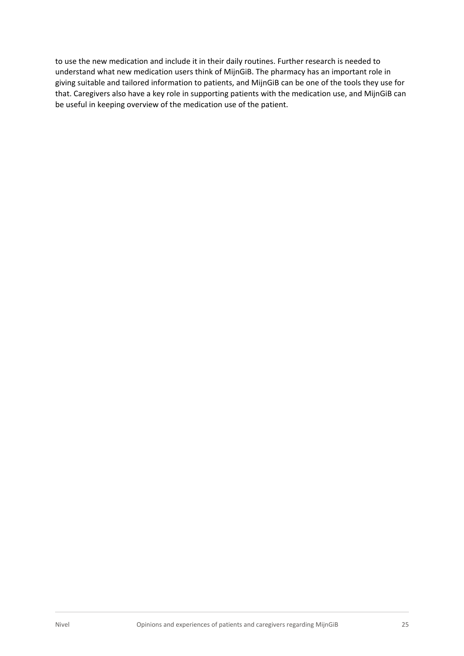to use the new medication and include it in their daily routines. Further research is needed to understand what new medication users think of MijnGiB. The pharmacy has an important role in giving suitable and tailored information to patients, and MijnGiB can be one of the tools they use for that. Caregivers also have a key role in supporting patients with the medication use, and MijnGiB can be useful in keeping overview of the medication use of the patient.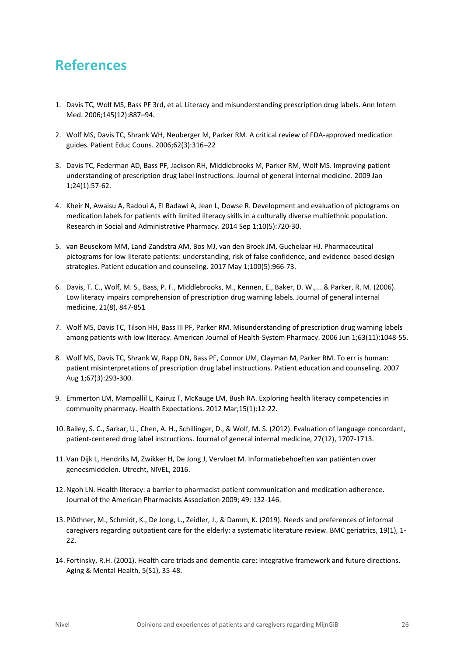# **References**

- 1. Davis TC, Wolf MS, Bass PF 3rd, et al. Literacy and misunderstanding prescription drug labels. Ann Intern Med. 2006;145(12):887–94.
- 2. Wolf MS, Davis TC, Shrank WH, Neuberger M, Parker RM. A critical review of FDA-approved medication guides. Patient Educ Couns. 2006;62(3):316–22
- 3. Davis TC, Federman AD, Bass PF, Jackson RH, Middlebrooks M, Parker RM, Wolf MS. Improving patient understanding of prescription drug label instructions. Journal of general internal medicine. 2009 Jan 1;24(1):57-62.
- 4. Kheir N, Awaisu A, Radoui A, El Badawi A, Jean L, Dowse R. Development and evaluation of pictograms on medication labels for patients with limited literacy skills in a culturally diverse multiethnic population. Research in Social and Administrative Pharmacy. 2014 Sep 1;10(5):720-30.
- 5. van Beusekom MM, Land-Zandstra AM, Bos MJ, van den Broek JM, Guchelaar HJ. Pharmaceutical pictograms for low-literate patients: understanding, risk of false confidence, and evidence-based design strategies. Patient education and counseling. 2017 May 1;100(5):966-73.
- 6. Davis, T. C., Wolf, M. S., Bass, P. F., Middlebrooks, M., Kennen, E., Baker, D. W.,... & Parker, R. M. (2006). Low literacy impairs comprehension of prescription drug warning labels. Journal of general internal medicine, 21(8), 847-851
- 7. Wolf MS, Davis TC, Tilson HH, Bass III PF, Parker RM. Misunderstanding of prescription drug warning labels among patients with low literacy. American Journal of Health-System Pharmacy. 2006 Jun 1;63(11):1048-55.
- 8. Wolf MS, Davis TC, Shrank W, Rapp DN, Bass PF, Connor UM, Clayman M, Parker RM. To err is human: patient misinterpretations of prescription drug label instructions. Patient education and counseling. 2007 Aug 1;67(3):293-300.
- 9. Emmerton LM, Mampallil L, Kairuz T, McKauge LM, Bush RA. Exploring health literacy competencies in community pharmacy. Health Expectations. 2012 Mar;15(1):12-22.
- 10. Bailey, S. C., Sarkar, U., Chen, A. H., Schillinger, D., & Wolf, M. S. (2012). Evaluation of language concordant, patient-centered drug label instructions. Journal of general internal medicine, 27(12), 1707-1713.
- 11. Van Dijk L, Hendriks M, Zwikker H, De Jong J, Vervloet M. Informatiebehoeften van patiënten over geneesmiddelen. Utrecht, NIVEL, 2016.
- 12.Ngoh LN. Health literacy: a barrier to pharmacist-patient communication and medication adherence. Journal of the American Pharmacists Association 2009; 49: 132-146.
- 13. Plöthner, M., Schmidt, K., De Jong, L., Zeidler, J., & Damm, K. (2019). Needs and preferences of informal caregivers regarding outpatient care for the elderly: a systematic literature review. BMC geriatrics, 19(1), 1- 22.
- 14. Fortinsky, R.H. (2001). Health care triads and dementia care: integrative framework and future directions. Aging & Mental Health, 5(S1), 35-48.